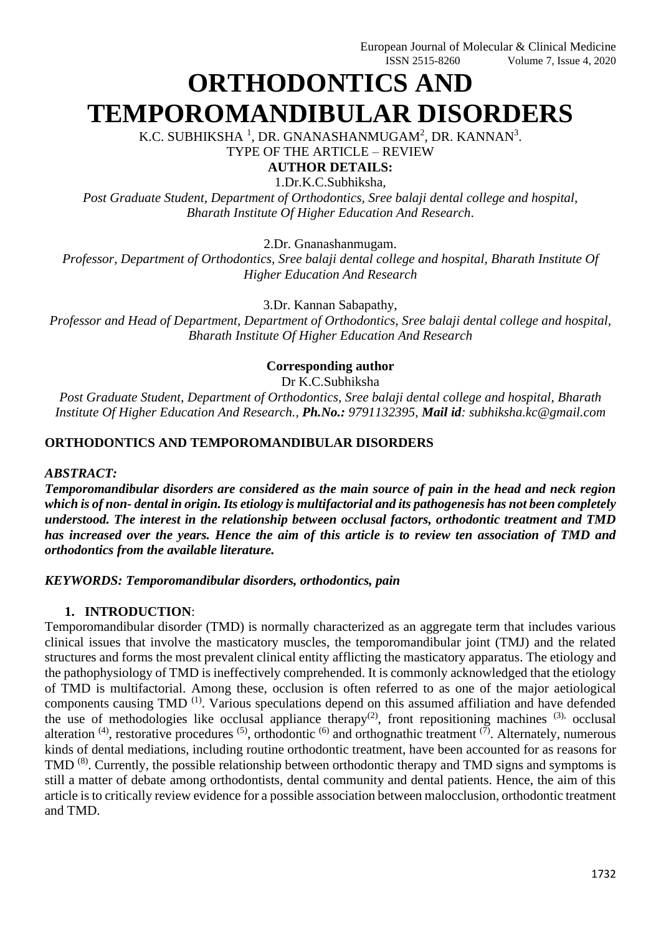# **ORTHODONTICS AND TEMPOROMANDIBULAR DISORDERS**

K.C. SUBHIKSHA  $^1$ , DR. GNANASHANMUGAM $^2$ , DR. KANNAN $^3$ .

TYPE OF THE ARTICLE – REVIEW

**AUTHOR DETAILS:**

1.Dr.K.C.Subhiksha,

*Post Graduate Student, Department of Orthodontics, Sree balaji dental college and hospital, Bharath Institute Of Higher Education And Research*.

2.Dr. Gnanashanmugam.

*Professor, Department of Orthodontics, Sree balaji dental college and hospital, Bharath Institute Of Higher Education And Research*

3.Dr. Kannan Sabapathy,

*Professor and Head of Department, Department of Orthodontics, Sree balaji dental college and hospital, Bharath Institute Of Higher Education And Research*

# **Corresponding author**

Dr K.C.Subhiksha

*Post Graduate Student, Department of Orthodontics, Sree balaji dental college and hospital, Bharath Institute Of Higher Education And Research., Ph.No.: 9791132395, Mail id: subhiksha.kc@gmail.com*

## **ORTHODONTICS AND TEMPOROMANDIBULAR DISORDERS**

### *ABSTRACT:*

*Temporomandibular disorders are considered as the main source of pain in the head and neck region which is of non- dental in origin. Its etiology is multifactorial and its pathogenesis has not been completely understood. The interest in the relationship between occlusal factors, orthodontic treatment and TMD has increased over the years. Hence the aim of this article is to review ten association of TMD and orthodontics from the available literature.*

*KEYWORDS: Temporomandibular disorders, orthodontics, pain*

# **1. INTRODUCTION**:

Temporomandibular disorder (TMD) is normally characterized as an aggregate term that includes various clinical issues that involve the masticatory muscles, the temporomandibular joint (TMJ) and the related structures and forms the most prevalent clinical entity afflicting the masticatory apparatus. The etiology and the pathophysiology of TMD is ineffectively comprehended. It is commonly acknowledged that the etiology of TMD is multifactorial. Among these, occlusion is often referred to as one of the major aetiological components causing TMD (1). Various speculations depend on this assumed affiliation and have defended the use of methodologies like occlusal appliance therapy<sup>(2)</sup>, front repositioning machines  $(3)$ , occlusal alteration  $(4)$ , restorative procedures  $(5)$ , orthodontic  $(6)$  and orthognathic treatment  $(7)$ . Alternately, numerous kinds of dental mediations, including routine orthodontic treatment, have been accounted for as reasons for TMD<sup>(8)</sup>. Currently, the possible relationship between orthodontic therapy and TMD signs and symptoms is still a matter of debate among orthodontists, dental community and dental patients. Hence, the aim of this article is to critically review evidence for a possible association between malocclusion, orthodontic treatment and TMD.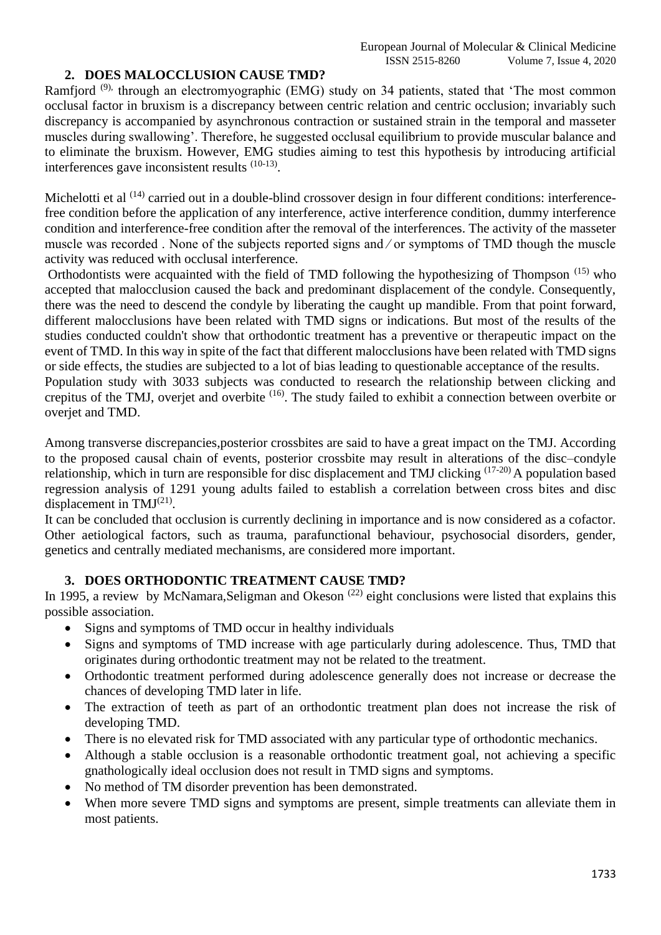# **2. DOES MALOCCLUSION CAUSE TMD?**

Ramfjord<sup>(9),</sup> through an electromyographic (EMG) study on 34 patients, stated that 'The most common occlusal factor in bruxism is a discrepancy between centric relation and centric occlusion; invariably such discrepancy is accompanied by asynchronous contraction or sustained strain in the temporal and masseter muscles during swallowing'. Therefore, he suggested occlusal equilibrium to provide muscular balance and to eliminate the bruxism. However, EMG studies aiming to test this hypothesis by introducing artificial interferences gave inconsistent results  $(10-13)$ .

Michelotti et al <sup>(14)</sup> carried out in a double-blind crossover design in four different conditions: interferencefree condition before the application of any interference, active interference condition, dummy interference condition and interference-free condition after the removal of the interferences. The activity of the masseter muscle was recorded . None of the subjects reported signs and ⁄ or symptoms of TMD though the muscle activity was reduced with occlusal interference.

Orthodontists were acquainted with the field of TMD following the hypothesizing of Thompson (15) who accepted that malocclusion caused the back and predominant displacement of the condyle. Consequently, there was the need to descend the condyle by liberating the caught up mandible. From that point forward, different malocclusions have been related with TMD signs or indications. But most of the results of the studies conducted couldn't show that orthodontic treatment has a preventive or therapeutic impact on the event of TMD. In this way in spite of the fact that different malocclusions have been related with TMD signs or side effects, the studies are subjected to a lot of bias leading to questionable acceptance of the results.

Population study with 3033 subjects was conducted to research the relationship between clicking and crepitus of the TMJ, overjet and overbite <sup>(16)</sup>. The study failed to exhibit a connection between overbite or overjet and TMD.

Among transverse discrepancies,posterior crossbites are said to have a great impact on the TMJ. According to the proposed causal chain of events, posterior crossbite may result in alterations of the disc–condyle relationship, which in turn are responsible for disc displacement and TMJ clicking (17-20) A population based regression analysis of 1291 young adults failed to establish a correlation between cross bites and disc displacement in TMJ $^{(21)}$ .

It can be concluded that occlusion is currently declining in importance and is now considered as a cofactor. Other aetiological factors, such as trauma, parafunctional behaviour, psychosocial disorders, gender, genetics and centrally mediated mechanisms, are considered more important.

### **3. DOES ORTHODONTIC TREATMENT CAUSE TMD?**

In 1995, a review by McNamara, Seligman and Okeson<sup>(22)</sup> eight conclusions were listed that explains this possible association.

- Signs and symptoms of TMD occur in healthy individuals
- Signs and symptoms of TMD increase with age particularly during adolescence. Thus, TMD that originates during orthodontic treatment may not be related to the treatment.
- Orthodontic treatment performed during adolescence generally does not increase or decrease the chances of developing TMD later in life.
- The extraction of teeth as part of an orthodontic treatment plan does not increase the risk of developing TMD.
- There is no elevated risk for TMD associated with any particular type of orthodontic mechanics.
- Although a stable occlusion is a reasonable orthodontic treatment goal, not achieving a specific gnathologically ideal occlusion does not result in TMD signs and symptoms.
- No method of TM disorder prevention has been demonstrated.
- When more severe TMD signs and symptoms are present, simple treatments can alleviate them in most patients.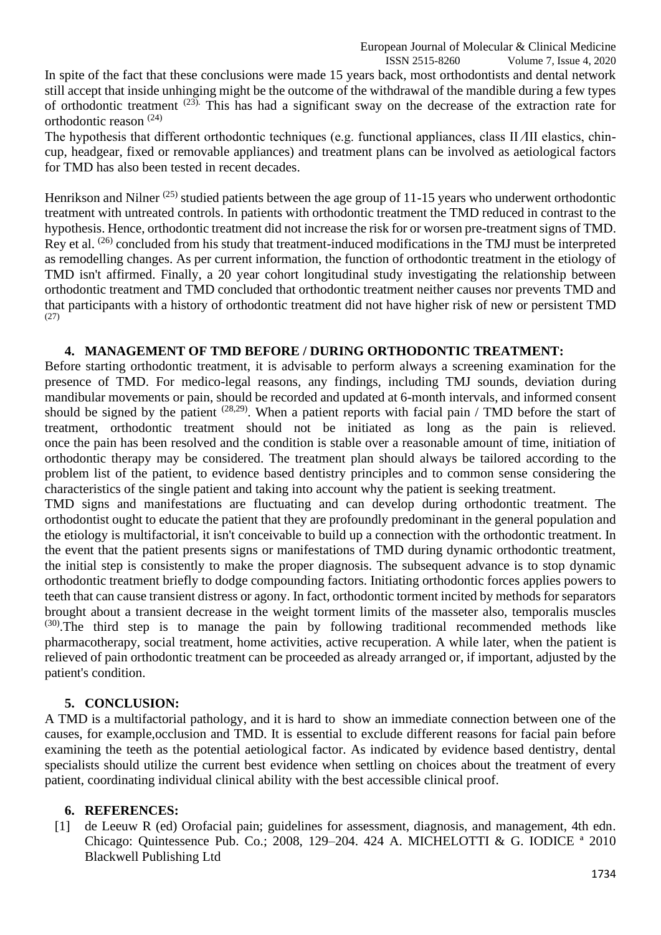ISSN 2515-8260 Volume 7, Issue 4, 2020 In spite of the fact that these conclusions were made 15 years back, most orthodontists and dental network still accept that inside unhinging might be the outcome of the withdrawal of the mandible during a few types of orthodontic treatment (23). This has had a significant sway on the decrease of the extraction rate for orthodontic reason (24)

The hypothesis that different orthodontic techniques (e.g. functional appliances, class II *A*II elastics, chincup, headgear, fixed or removable appliances) and treatment plans can be involved as aetiological factors for TMD has also been tested in recent decades.

Henrikson and Nilner<sup>(25)</sup> studied patients between the age group of 11-15 years who underwent orthodontic treatment with untreated controls. In patients with orthodontic treatment the TMD reduced in contrast to the hypothesis. Hence, orthodontic treatment did not increase the risk for or worsen pre-treatment signs of TMD. Rey et al. <sup>(26)</sup> concluded from his study that treatment-induced modifications in the TMJ must be interpreted as remodelling changes. As per current information, the function of orthodontic treatment in the etiology of TMD isn't affirmed. Finally, a 20 year cohort longitudinal study investigating the relationship between orthodontic treatment and TMD concluded that orthodontic treatment neither causes nor prevents TMD and that participants with a history of orthodontic treatment did not have higher risk of new or persistent TMD (27)

## **4. MANAGEMENT OF TMD BEFORE / DURING ORTHODONTIC TREATMENT:**

Before starting orthodontic treatment, it is advisable to perform always a screening examination for the presence of TMD. For medico-legal reasons, any findings, including TMJ sounds, deviation during mandibular movements or pain, should be recorded and updated at 6-month intervals, and informed consent should be signed by the patient  $(28,29)$ . When a patient reports with facial pain / TMD before the start of treatment, orthodontic treatment should not be initiated as long as the pain is relieved. once the pain has been resolved and the condition is stable over a reasonable amount of time, initiation of orthodontic therapy may be considered. The treatment plan should always be tailored according to the problem list of the patient, to evidence based dentistry principles and to common sense considering the characteristics of the single patient and taking into account why the patient is seeking treatment.

TMD signs and manifestations are fluctuating and can develop during orthodontic treatment. The orthodontist ought to educate the patient that they are profoundly predominant in the general population and the etiology is multifactorial, it isn't conceivable to build up a connection with the orthodontic treatment. In the event that the patient presents signs or manifestations of TMD during dynamic orthodontic treatment, the initial step is consistently to make the proper diagnosis. The subsequent advance is to stop dynamic orthodontic treatment briefly to dodge compounding factors. Initiating orthodontic forces applies powers to teeth that can cause transient distress or agony. In fact, orthodontic torment incited by methods for separators brought about a transient decrease in the weight torment limits of the masseter also, temporalis muscles  $(30)$ . The third step is to manage the pain by following traditional recommended methods like pharmacotherapy, social treatment, home activities, active recuperation. A while later, when the patient is relieved of pain orthodontic treatment can be proceeded as already arranged or, if important, adjusted by the patient's condition.

### **5. CONCLUSION:**

A TMD is a multifactorial pathology, and it is hard to show an immediate connection between one of the causes, for example,occlusion and TMD. It is essential to exclude different reasons for facial pain before examining the teeth as the potential aetiological factor. As indicated by evidence based dentistry, dental specialists should utilize the current best evidence when settling on choices about the treatment of every patient, coordinating individual clinical ability with the best accessible clinical proof.

### **6. REFERENCES:**

[1] de Leeuw R (ed) Orofacial pain; guidelines for assessment, diagnosis, and management, 4th edn. Chicago: Quintessence Pub. Co.; 2008, 129–204. 424 A. MICHELOTTI & G. IODICE ª 2010 Blackwell Publishing Ltd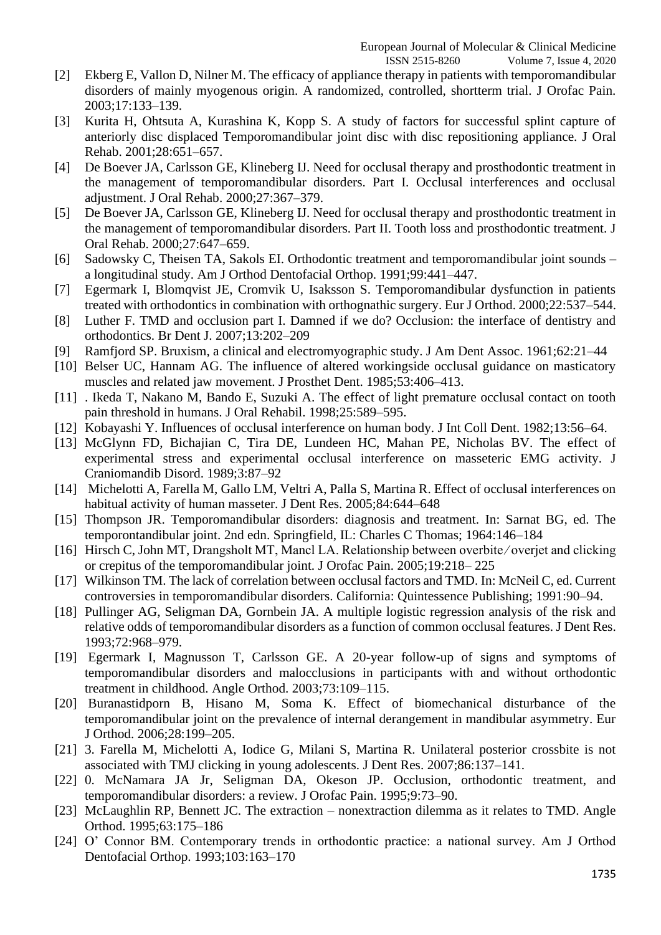ISSN 2515-8260 Volume 7, Issue 4, 2020

- [2] Ekberg E, Vallon D, Nilner M. The efficacy of appliance therapy in patients with temporomandibular disorders of mainly myogenous origin. A randomized, controlled, shortterm trial. J Orofac Pain. 2003;17:133–139.
- [3] Kurita H, Ohtsuta A, Kurashina K, Kopp S. A study of factors for successful splint capture of anteriorly disc displaced Temporomandibular joint disc with disc repositioning appliance. J Oral Rehab. 2001;28:651–657.
- [4] De Boever JA, Carlsson GE, Klineberg IJ. Need for occlusal therapy and prosthodontic treatment in the management of temporomandibular disorders. Part I. Occlusal interferences and occlusal adjustment. J Oral Rehab. 2000;27:367–379.
- [5] De Boever JA, Carlsson GE, Klineberg IJ. Need for occlusal therapy and prosthodontic treatment in the management of temporomandibular disorders. Part II. Tooth loss and prosthodontic treatment. J Oral Rehab. 2000;27:647–659.
- [6] Sadowsky C, Theisen TA, Sakols EI. Orthodontic treatment and temporomandibular joint sounds a longitudinal study. Am J Orthod Dentofacial Orthop. 1991;99:441–447.
- [7] Egermark I, Blomqvist JE, Cromvik U, Isaksson S. Temporomandibular dysfunction in patients treated with orthodontics in combination with orthognathic surgery. Eur J Orthod. 2000;22:537–544.
- [8] Luther F. TMD and occlusion part I. Damned if we do? Occlusion: the interface of dentistry and orthodontics. Br Dent J. 2007;13:202–209
- [9] Ramfjord SP. Bruxism, a clinical and electromyographic study. J Am Dent Assoc. 1961;62:21–44
- [10] Belser UC, Hannam AG. The influence of altered workingside occlusal guidance on masticatory muscles and related jaw movement. J Prosthet Dent. 1985;53:406–413.
- [11] . Ikeda T, Nakano M, Bando E, Suzuki A. The effect of light premature occlusal contact on tooth pain threshold in humans. J Oral Rehabil. 1998;25:589–595.
- [12] Kobayashi Y. Influences of occlusal interference on human body. J Int Coll Dent. 1982;13:56–64.
- [13] McGlynn FD, Bichajian C, Tira DE, Lundeen HC, Mahan PE, Nicholas BV. The effect of experimental stress and experimental occlusal interference on masseteric EMG activity. J Craniomandib Disord. 1989;3:87–92
- [14] Michelotti A, Farella M, Gallo LM, Veltri A, Palla S, Martina R. Effect of occlusal interferences on habitual activity of human masseter. J Dent Res. 2005;84:644–648
- [15] Thompson JR. Temporomandibular disorders: diagnosis and treatment. In: Sarnat BG, ed. The temporontandibular joint. 2nd edn. Springfield, IL: Charles C Thomas; 1964:146–184
- [16] Hirsch C, John MT, Drangsholt MT, Mancl LA. Relationship between overbite/overjet and clicking or crepitus of the temporomandibular joint. J Orofac Pain. 2005;19:218– 225
- [17] Wilkinson TM. The lack of correlation between occlusal factors and TMD. In: McNeil C, ed. Current controversies in temporomandibular disorders. California: Quintessence Publishing; 1991:90–94.
- [18] Pullinger AG, Seligman DA, Gornbein JA. A multiple logistic regression analysis of the risk and relative odds of temporomandibular disorders as a function of common occlusal features. J Dent Res. 1993;72:968–979.
- [19] Egermark I, Magnusson T, Carlsson GE. A 20-year follow-up of signs and symptoms of temporomandibular disorders and malocclusions in participants with and without orthodontic treatment in childhood. Angle Orthod. 2003;73:109–115.
- [20] Buranastidporn B, Hisano M, Soma K. Effect of biomechanical disturbance of the temporomandibular joint on the prevalence of internal derangement in mandibular asymmetry. Eur J Orthod. 2006;28:199–205.
- [21] 3. Farella M, Michelotti A, Iodice G, Milani S, Martina R. Unilateral posterior crossbite is not associated with TMJ clicking in young adolescents. J Dent Res. 2007;86:137–141.
- [22] 0. McNamara JA Jr, Seligman DA, Okeson JP. Occlusion, orthodontic treatment, and temporomandibular disorders: a review. J Orofac Pain. 1995;9:73–90.
- [23] McLaughlin RP, Bennett JC. The extraction nonextraction dilemma as it relates to TMD. Angle Orthod. 1995;63:175–186
- [24] O' Connor BM. Contemporary trends in orthodontic practice: a national survey. Am J Orthod Dentofacial Orthop. 1993;103:163–170